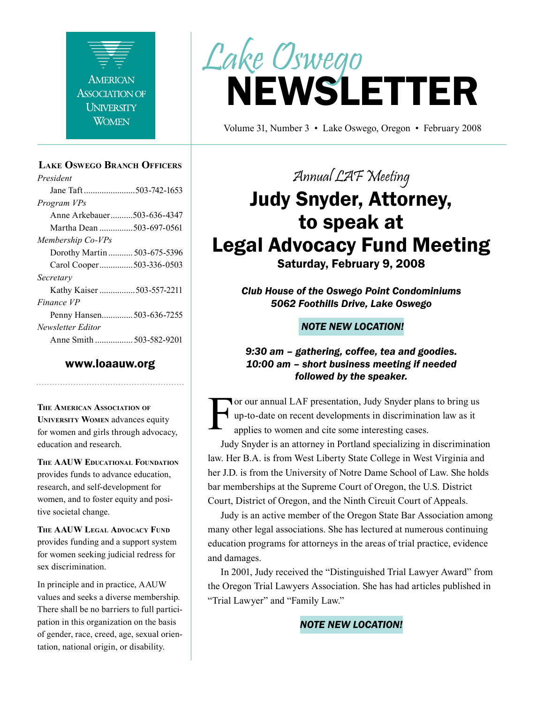

#### **Lake Oswego Branch Officers**

*President* Jane Taft .......................503-742-1653 *Program VPs* Anne Arkebauer..........503-636-4347 Martha Dean ...............503-697-0561 *Membership Co-VPs* Dorothy Martin ........... 503-675-5396 Carol Cooper...............503-336-0503 *Secretary* Kathy Kaiser ................503-557-2211 *Finance VP* Penny Hansen..............503-636-7255 *Newsletter Editor* Anne Smith ................. 503-582-9201

#### www.loaauw.org

**The American Association of University Women** advances equity for women and girls through advocacy, education and research.

**The AAUW Educational Foundation** provides funds to advance education, research, and self-development for women, and to foster equity and positive societal change.

**The AAUW Legal Advocacy Fund** provides funding and a support system for women seeking judicial redress for sex discrimination.

In principle and in practice, AAUW values and seeks a diverse membership. There shall be no barriers to full participation in this organization on the basis of gender, race, creed, age, sexual orientation, national origin, or disability.



Volume 31, Number 3 • Lake Oswego, Oregon • February 2008

Annual LAF Meeting

# Judy Snyder, Attorney, to speak at Legal Advocacy Fund Meeting

Saturday, February 9, 2008

*Club House of the Oswego Point Condominiums 5062 Foothills Drive, Lake Oswego*

#### *NOTE NEW LOCATION!*

*9:30 am – gathering, coffee, tea and goodies. 10:00 am – short business meeting if needed followed by the speaker.*

For our annual LAF presentation, Judy Snyder plans to bring us<br>up-to-date on recent developments in discrimination law as it<br>applies to women and cite some interesting cases. up-to-date on recent developments in discrimination law as it applies to women and cite some interesting cases.

Judy Snyder is an attorney in Portland specializing in discrimination law. Her B.A. is from West Liberty State College in West Virginia and her J.D. is from the University of Notre Dame School of Law. She holds bar memberships at the Supreme Court of Oregon, the U.S. District Court, District of Oregon, and the Ninth Circuit Court of Appeals.

Judy is an active member of the Oregon State Bar Association among many other legal associations. She has lectured at numerous continuing education programs for attorneys in the areas of trial practice, evidence and damages.

In 2001, Judy received the "Distinguished Trial Lawyer Award" from the Oregon Trial Lawyers Association. She has had articles published in "Trial Lawyer" and "Family Law."

#### *NOTE NEW LOCATION!*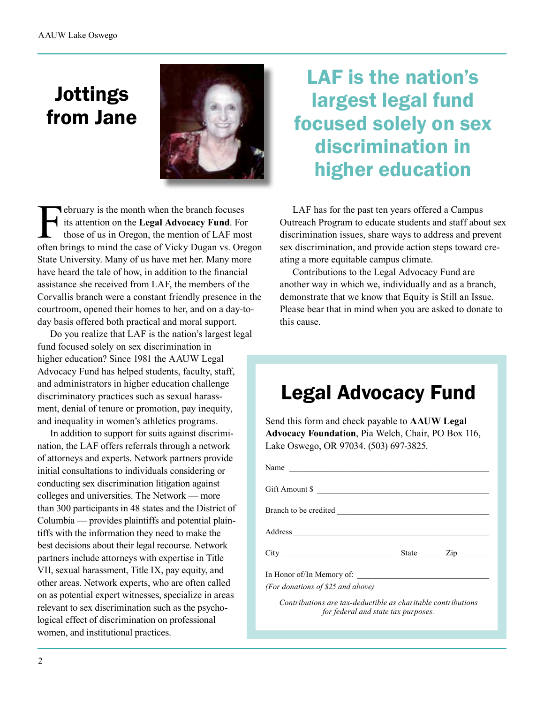# Jottings from Jane



February is the month when the branch focuses<br>its attention on the Legal Advocacy Fund. For<br>those of us in Oregon, the mention of LAF mos<br>often brings to mind the case of Vicky Dugan vs. Ore its attention on the **Legal Advocacy Fund**. For those of us in Oregon, the mention of LAF most often brings to mind the case of Vicky Dugan vs. Oregon State University. Many of us have met her. Many more have heard the tale of how, in addition to the financial assistance she received from LAF, the members of the Corvallis branch were a constant friendly presence in the courtroom, opened their homes to her, and on a day-today basis offered both practical and moral support.

Do you realize that LAF is the nation's largest legal fund focused solely on sex discrimination in higher education? Since 1981 the AAUW Legal Advocacy Fund has helped students, faculty, staff, and administrators in higher education challenge discriminatory practices such as sexual harassment, denial of tenure or promotion, pay inequity, and inequality in women's athletics programs.

In addition to support for suits against discrimination, the LAF offers referrals through a network of attorneys and experts. Network partners provide initial consultations to individuals considering or conducting sex discrimination litigation against colleges and universities. The Network — more than 300 participants in 48 states and the District of Columbia — provides plaintiffs and potential plaintiffs with the information they need to make the best decisions about their legal recourse. Network partners include attorneys with expertise in Title VII, sexual harassment, Title IX, pay equity, and other areas. Network experts, who are often called on as potential expert witnesses, specialize in areas relevant to sex discrimination such as the psychological effect of discrimination on professional women, and institutional practices.

# LAF is the nation's largest legal fund focused solely on sex discrimination in higher education

LAF has for the past ten years offered a Campus Outreach Program to educate students and staff about sex discrimination issues, share ways to address and prevent sex discrimination, and provide action steps toward creating a more equitable campus climate.

Contributions to the Legal Advocacy Fund are another way in which we, individually and as a branch, demonstrate that we know that Equity is Still an Issue. Please bear that in mind when you are asked to donate to this cause.

# Legal Advocacy Fund

Send this form and check payable to **AAUW Legal Advocacy Foundation**, Pia Welch, Chair, PO Box 116, Lake Oswego, OR 97034. (503) 697-3825.

| Name                                                         |           |
|--------------------------------------------------------------|-----------|
| Gift Amount \$                                               |           |
|                                                              |           |
|                                                              |           |
|                                                              | State Zip |
|                                                              |           |
| (For donations of \$25 and above)                            |           |
| Contributions are tax-deductible as charitable contributions |           |

*for federal and state tax purposes.*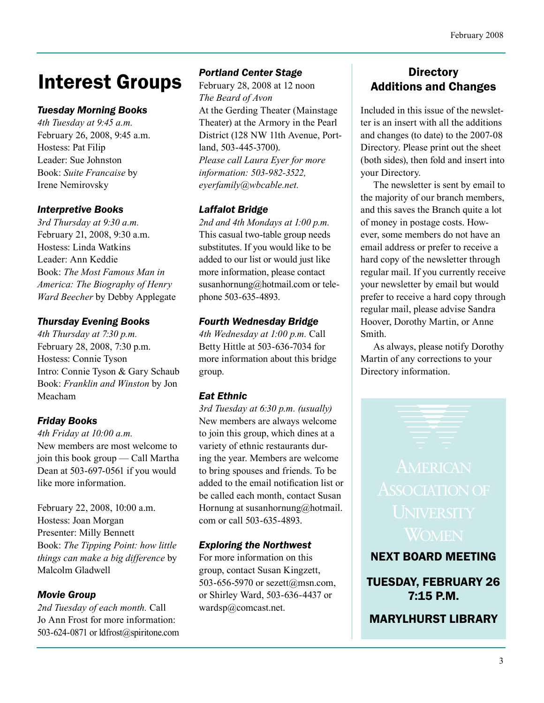# Interest Groups

#### *Tuesday Morning Books*

*4th Tuesday at 9:45 a.m.* February 26, 2008, 9:45 a.m. Hostess: Pat Filip Leader: Sue Johnston Book: *Suite Francaise* by Irene Nemirovsky

#### *Interpretive Books*

*3rd Thursday at 9:30 a.m.* February 21, 2008, 9:30 a.m. Hostess: Linda Watkins Leader: Ann Keddie Book: *The Most Famous Man in America: The Biography of Henry Ward Beecher* by Debby Applegate

#### *Thursday Evening Books*

*4th Thursday at 7:30 p.m.* February 28, 2008, 7:30 p.m. Hostess: Connie Tyson Intro: Connie Tyson & Gary Schaub Book: *Franklin and Winston* by Jon Meacham

### *Friday Books*

*4th Friday at 10:00 a.m.* New members are most welcome to join this book group — Call Martha Dean at 503-697-0561 if you would like more information.

February 22, 2008, 10:00 a.m. Hostess: Joan Morgan Presenter: Milly Bennett Book: *The Tipping Point: how little things can make a big difference* by Malcolm Gladwell

### *Movie Group*

*2nd Tuesday of each month.* Call Jo Ann Frost for more information: 503-624-0871 or ldfrost@spiritone.com

#### *Portland Center Stage*

February 28, 2008 at 12 noon *The Beard of Avon* At the Gerding Theater (Mainstage Theater) at the Armory in the Pearl District (128 NW 11th Avenue, Portland, 503-445-3700). *Please call Laura Eyer for more information: 503-982-3522, eyerfamily@wbcable.net.*

### *Laffalot Bridge*

*2nd and 4th Mondays at 1:00 p.m.* This casual two-table group needs substitutes. If you would like to be added to our list or would just like more information, please contact susanhornung@hotmail.com or telephone 503-635-4893.

#### *Fourth Wednesday Bridge*

*4th Wednesday at 1:00 p.m.* Call Betty Hittle at 503-636-7034 for more information about this bridge group.

### *Eat Ethnic*

*3rd Tuesday at 6:30 p.m. (usually)* New members are always welcome to join this group, which dines at a variety of ethnic restaurants during the year. Members are welcome to bring spouses and friends. To be added to the email notification list or be called each month, contact Susan Hornung at susanhornung@hotmail. com or call 503-635-4893.

#### *Exploring the Northwest*

For more information on this group, contact Susan Kingzett, 503-656-5970 or sezett@msn.com, or Shirley Ward, 503-636-4437 or wardsp@comcast.net.

### **Directory** Additions and Changes

Included in this issue of the newsletter is an insert with all the additions and changes (to date) to the 2007-08 Directory. Please print out the sheet (both sides), then fold and insert into your Directory.

The newsletter is sent by email to the majority of our branch members, and this saves the Branch quite a lot of money in postage costs. However, some members do not have an email address or prefer to receive a hard copy of the newsletter through regular mail. If you currently receive your newsletter by email but would prefer to receive a hard copy through regular mail, please advise Sandra Hoover, Dorothy Martin, or Anne Smith.

As always, please notify Dorothy Martin of any corrections to your Directory information.

NEXT BOARD MEETING

TUESDAY, FEBRUARY 26 7:15 P.M.

MARYLHURST LIBRARY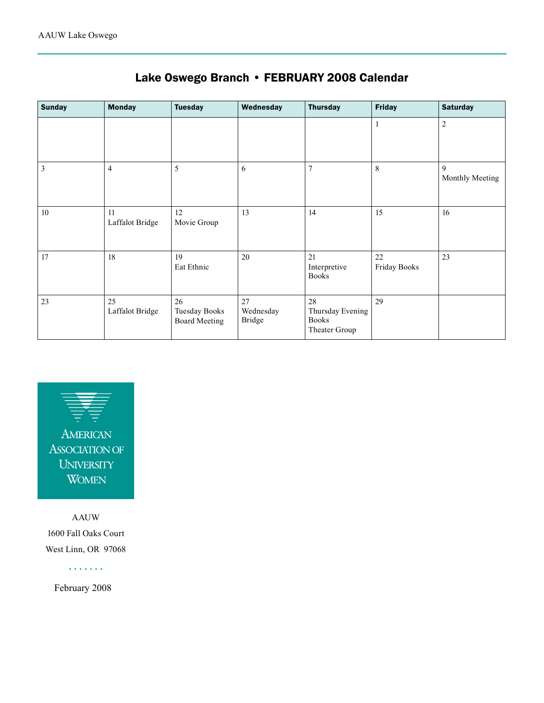| <b>Sunday</b> | <b>Monday</b>         | <b>Tuesday</b>                                     | Wednesday                        | <b>Thursday</b>                                         | <b>Friday</b>      | <b>Saturday</b>      |
|---------------|-----------------------|----------------------------------------------------|----------------------------------|---------------------------------------------------------|--------------------|----------------------|
|               |                       |                                                    |                                  |                                                         | 1                  | $\sqrt{2}$           |
| 3             | $\overline{4}$        | 5                                                  | 6                                | $\overline{7}$                                          | $\,8\,$            | 9<br>Monthly Meeting |
| 10            | 11<br>Laffalot Bridge | 12<br>Movie Group                                  | 13                               | 14                                                      | 15                 | 16                   |
| 17            | 18                    | 19<br>Eat Ethnic                                   | 20                               | 21<br>Interpretive<br><b>Books</b>                      | 22<br>Friday Books | 23                   |
| 23            | 25<br>Laffalot Bridge | 26<br><b>Tuesday Books</b><br><b>Board Meeting</b> | 27<br>Wednesday<br><b>Bridge</b> | 28<br>Thursday Evening<br><b>Books</b><br>Theater Group | 29                 |                      |

### Lake Oswego Branch • FEBRUARY 2008 Calendar



AAUW 1600 Fall Oaks Court West Linn, OR 97068

. . . . . . .

February 2008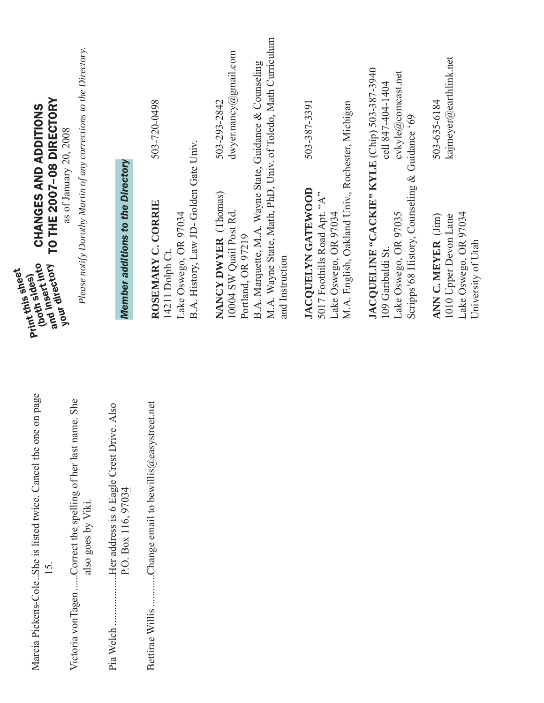| TO THE 2007-08 DIRECTORY<br>CHANGES AND ADDITIONS<br>and insert into<br>your directory<br>Print this sheet<br>(both sides) | Please notify Dorothy Martin of any corrections to the Directory.<br>as of January 20, 2008 | <b>Member additions to the Directory</b>                                     | 503-720-0498<br>B.A. History, Law JD-Golden Gate Univ.<br>ROSEMARY C. CORRIE<br>Lake Oswego, OR 97034<br>14211 Dolph Ct. | M.A. Wayne State, Math, PhD, Univ. of Toledo, Math Curriculum<br>dwyer.nancy@gmail.com<br>B.A. Marquette, M.A. Wayne State, Guidance & Counseling<br>503-293-2842<br>NANCY DWYER (Thomas)<br>10004 SW Quail Post Rd.<br>Portland, OR 97219<br>and Instruction | M.A. English, Oakland Univ., Rochester, Michigan<br>503-387-3391<br><b>JACOUELYN GATEWOOD</b><br>5017 Foothills Road Apt. "A"<br>Lake Oswego, OR 97034 | JACQUELINE "CACKIE" KYLE (Chip) 503-387-3940<br>cvkyle@comcast.net<br>cell 847-404-1404<br>Scripps' 68 History, Counseling & Guidance '69<br>Lake Oswego, OR 97035<br>109 Garibaldi St. | kajmeyer@earthlink.net<br>503-635-6184<br>Lake Oswego, OR 97034<br>1010 Upper Devon Lane<br>ANN C. MEYER (Jim)<br>University of Utah |
|----------------------------------------------------------------------------------------------------------------------------|---------------------------------------------------------------------------------------------|------------------------------------------------------------------------------|--------------------------------------------------------------------------------------------------------------------------|---------------------------------------------------------------------------------------------------------------------------------------------------------------------------------------------------------------------------------------------------------------|--------------------------------------------------------------------------------------------------------------------------------------------------------|-----------------------------------------------------------------------------------------------------------------------------------------------------------------------------------------|--------------------------------------------------------------------------------------------------------------------------------------|
| Marcia Pickens-ColeShe is listed twice. Cancel the one on page<br>15.                                                      | Victoria vonTagenCorrect the spelling of her last name. She<br>also goes by Viki.           | Her address is 6 Eagle Crest Drive. Also<br>P.O. Box 116, 97034<br>Pia Welch | Change email to bewillis@easystreet.net<br>Bettirae Willis                                                               |                                                                                                                                                                                                                                                               |                                                                                                                                                        |                                                                                                                                                                                         |                                                                                                                                      |